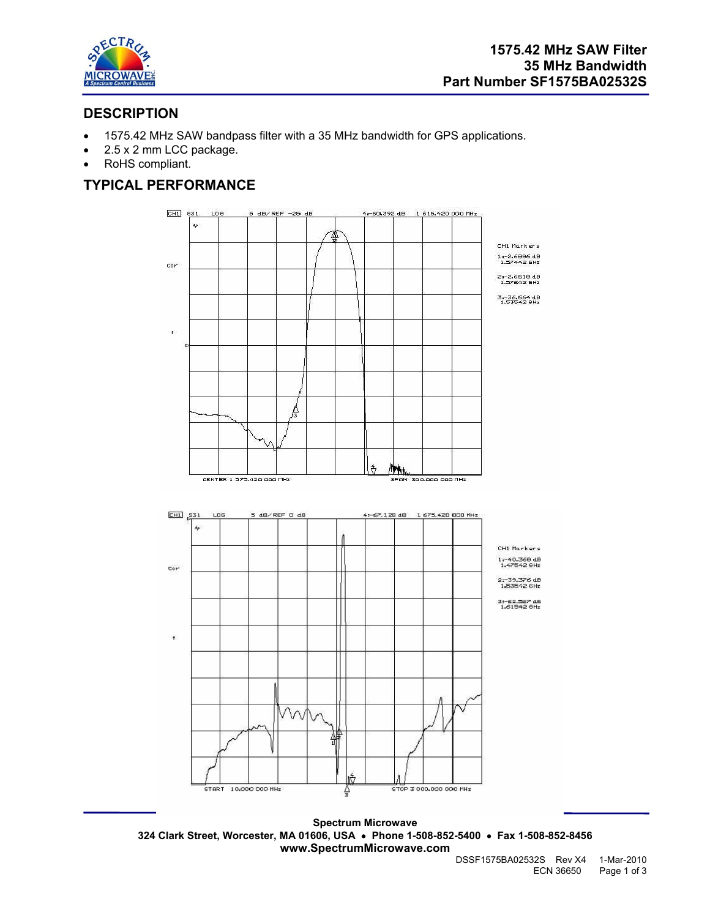

## **DESCRIPTION**

- 1575.42 MHz SAW bandpass filter with a 35 MHz bandwidth for GPS applications.
- 2.5 x 2 mm LCC package.
- RoHS compliant.

## **TYPICAL PERFORMANCE**



**Spectrum Microwave 324 Clark Street, Worcester, MA 01606, USA** • **Phone 1-508-852-5400** • **Fax 1-508-852-8456 www.SpectrumMicrowave.com**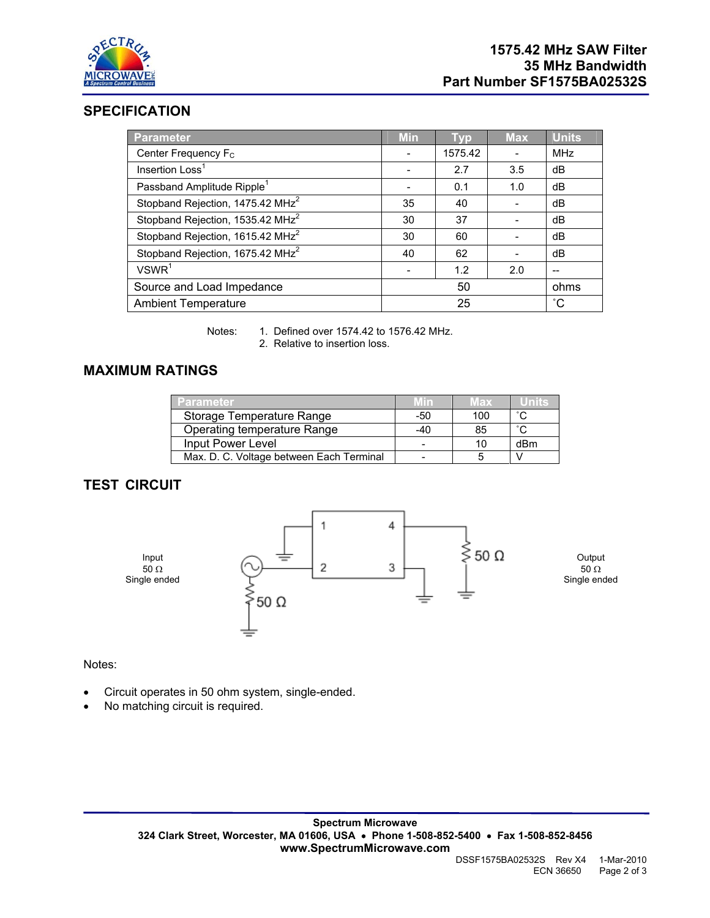

## **SPECIFICATION**

| <b>Parameter</b>                             | <b>Min</b> | <b>Typ</b> | <b>Max</b> | <b>Units</b> |
|----------------------------------------------|------------|------------|------------|--------------|
| Center Frequency F <sub>C</sub>              |            | 1575.42    |            | <b>MHz</b>   |
| Insertion Loss <sup>1</sup>                  |            | 2.7        | 3.5        | dB           |
| Passband Amplitude Ripple <sup>1</sup>       |            | 0.1        | 1.0        | dB           |
| Stopband Rejection, 1475.42 MHz <sup>2</sup> | 35         | 40         |            | dB           |
| Stopband Rejection, 1535.42 MHz <sup>2</sup> | 30         | 37         |            | dB           |
| Stopband Rejection, 1615.42 MHz <sup>2</sup> | 30         | 60         |            | dB           |
| Stopband Rejection, 1675.42 MHz <sup>2</sup> | 40         | 62         |            | dB           |
| VSWR <sup>1</sup>                            |            | 1.2        | 2.0        |              |
| Source and Load Impedance                    | 50         |            |            | ohms         |
| <b>Ambient Temperature</b>                   | 25         |            |            | $^{\circ}$ C |

Notes: 1. Defined over 1574.42 to 1576.42 MHz. 2. Relative to insertion loss.

## **MAXIMUM RATINGS**

| <b>Parameter</b>                         | Min | Max |                     |
|------------------------------------------|-----|-----|---------------------|
| Storage Temperature Range                | -50 | 100 | $\hat{\phantom{a}}$ |
| Operating temperature Range              | -40 | 85  | $\sim$              |
| Input Power Level                        |     | 10  | dBm                 |
| Max. D. C. Voltage between Each Terminal |     |     |                     |

# **TEST CIRCUIT**



Notes:

- Circuit operates in 50 ohm system, single-ended.
- No matching circuit is required.